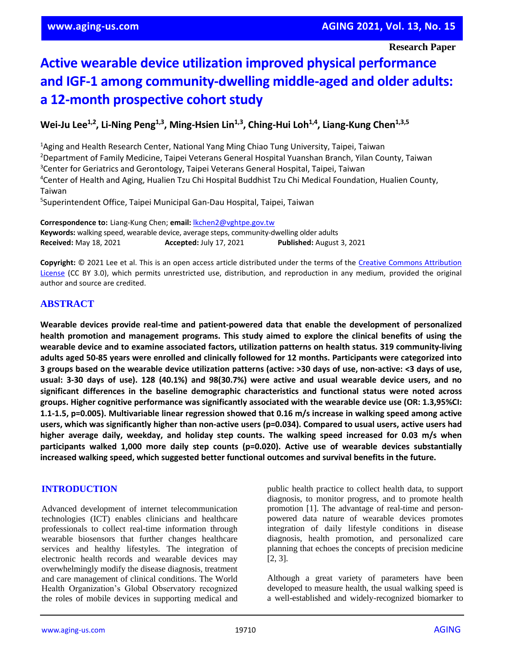# **Active wearable device utilization improved physical performance and IGF-1 among community-dwelling middle-aged and older adults: a 12-month prospective cohort study**

**Wei-Ju Lee1,2, Li-Ning Peng1,3, Ming-Hsien Lin1,3, Ching-Hui Loh1,4, Liang-Kung Chen1,3,5**

<sup>1</sup>Aging and Health Research Center, National Yang Ming Chiao Tung University, Taipei, Taiwan <sup>2</sup>Department of Family Medicine, Taipei Veterans General Hospital Yuanshan Branch, Yilan County, Taiwan <sup>3</sup>Center for Geriatrics and Gerontology, Taipei Veterans General Hospital, Taipei, Taiwan <sup>4</sup>Center of Health and Aging, Hualien Tzu Chi Hospital Buddhist Tzu Chi Medical Foundation, Hualien County, Taiwan

5 Superintendent Office, Taipei Municipal Gan-Dau Hospital, Taipei, Taiwan

**Correspondence to:** Liang-Kung Chen; **email:** [lkchen2@vghtpe.gov.tw](mailto:lkchen2@vghtpe.gov.tw) **Keywords:** walking speed, wearable device, average steps, community-dwelling older adults **Received:** May 18, 2021 **Accepted:** July 17, 2021 **Published:** August 3, 2021

**Copyright:** © 2021 Lee et al. This is an open access article distributed under the terms of the [Creative Commons Attribution](https://creativecommons.org/licenses/by/3.0/)  [License](https://creativecommons.org/licenses/by/3.0/) (CC BY 3.0), which permits unrestricted use, distribution, and reproduction in any medium, provided the original author and source are credited.

# **ABSTRACT**

**Wearable devices provide real-time and patient-powered data that enable the development of personalized health promotion and management programs. This study aimed to explore the clinical benefits of using the wearable device and to examine associated factors, utilization patterns on health status. 319 community-living adults aged 50-85 years were enrolled and clinically followed for 12 months. Participants were categorized into** 3 groups based on the wearable device utilization patterns (active: >30 days of use, non-active: <3 days of use, usual: 3-30 days of use). 128 (40.1%) and 98(30.7%) were active and usual wearable device users, and no **significant differences in the baseline demographic characteristics and functional status were noted across groups. Higher cognitive performance was significantly associated with the wearable device use (OR: 1.3,95%CI: 1.1-1.5, p=0.005). Multivariable linear regression showed that 0.16 m/s increase in walking speed among active users, which was significantly higher than non-active users (p=0.034). Compared to usual users, active users had higher average daily, weekday, and holiday step counts. The walking speed increased for 0.03 m/s when participants walked 1,000 more daily step counts (p=0.020). Active use of wearable devices substantially increased walking speed, which suggested better functional outcomes and survival benefits in the future.**

# **INTRODUCTION**

Advanced development of internet telecommunication technologies (ICT) enables clinicians and healthcare professionals to collect real-time information through wearable biosensors that further changes healthcare services and healthy lifestyles. The integration of electronic health records and wearable devices may overwhelmingly modify the disease diagnosis, treatment and care management of clinical conditions. The World Health Organization's Global Observatory recognized the roles of mobile devices in supporting medical and public health practice to collect health data, to support diagnosis, to monitor progress, and to promote health promotion [1]. The advantage of real-time and personpowered data nature of wearable devices promotes integration of daily lifestyle conditions in disease diagnosis, health promotion, and personalized care planning that echoes the concepts of precision medicine [2, 3].

Although a great variety of parameters have been developed to measure health, the usual walking speed is a well-established and widely-recognized biomarker to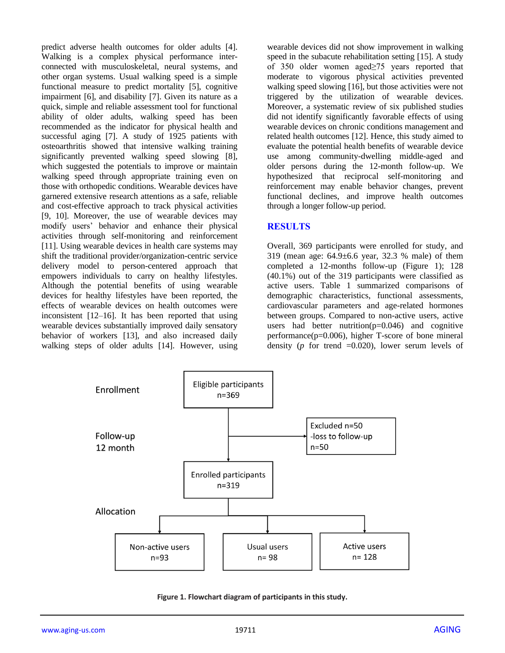predict adverse health outcomes for older adults [4]. Walking is a complex physical performance interconnected with musculoskeletal, neural systems, and other organ systems. Usual walking speed is a simple functional measure to predict mortality [5], cognitive impairment [6], and disability [7]. Given its nature as a quick, simple and reliable assessment tool for functional ability of older adults, walking speed has been recommended as the indicator for physical health and successful aging [7]. A study of 1925 patients with osteoarthritis showed that intensive walking training significantly prevented walking speed slowing [8], which suggested the potentials to improve or maintain walking speed through appropriate training even on those with orthopedic conditions. Wearable devices have garnered extensive research attentions as a safe, reliable and cost-effective approach to track physical activities [9, 10]. Moreover, the use of wearable devices may modify users' behavior and enhance their physical activities through self-monitoring and reinforcement [11]. Using wearable devices in health care systems may shift the traditional provider/organization-centric service delivery model to person-centered approach that empowers individuals to carry on healthy lifestyles. Although the potential benefits of using wearable devices for healthy lifestyles have been reported, the effects of wearable devices on health outcomes were inconsistent [12–16]. It has been reported that using wearable devices substantially improved daily sensatory behavior of workers [13], and also increased daily walking steps of older adults [14]. However, using

wearable devices did not show improvement in walking speed in the subacute rehabilitation setting [15]. A study of 350 older women aged≥75 years reported that moderate to vigorous physical activities prevented walking speed slowing [16], but those activities were not triggered by the utilization of wearable devices. Moreover, a systematic review of six published studies did not identify significantly favorable effects of using wearable devices on chronic conditions management and related health outcomes [12]. Hence, this study aimed to evaluate the potential health benefits of wearable device use among community-dwelling middle-aged and older persons during the 12-month follow-up. We hypothesized that reciprocal self-monitoring and reinforcement may enable behavior changes, prevent functional declines, and improve health outcomes through a longer follow-up period.

# **RESULTS**

Overall, 369 participants were enrolled for study, and 319 (mean age: 64.9±6.6 year, 32.3 % male) of them completed a 12-months follow-up (Figure 1); 128 (40.1%) out of the 319 participants were classified as active users. Table 1 summarized comparisons of demographic characteristics, functional assessments, cardiovascular parameters and age-related hormones between groups. Compared to non-active users, active users had better nutrition $(p=0.046)$  and cognitive performance(p=0.006), higher T-score of bone mineral density ( $p$  for trend  $=0.020$ ), lower serum levels of



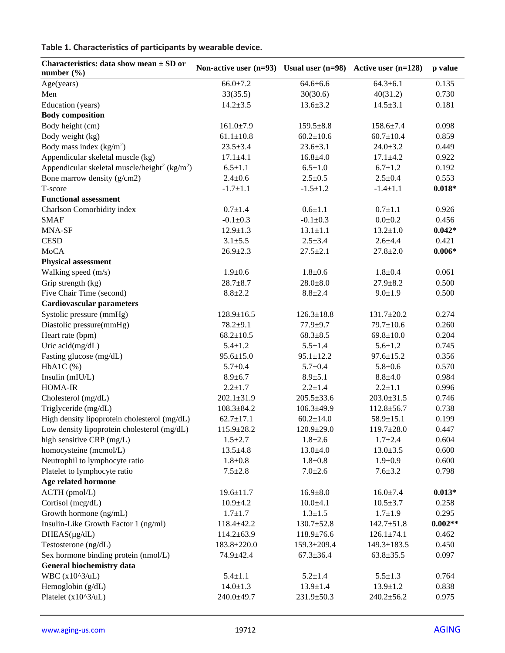# **Table 1. Characteristics of participants by wearable device.**

| Characteristics: data show mean $\pm$ SD or<br>number $(\% )$         | Non-active user $(n=93)$ Usual user $(n=98)$ Active user $(n=128)$ |                   |                   | p value   |
|-----------------------------------------------------------------------|--------------------------------------------------------------------|-------------------|-------------------|-----------|
| Age(years)                                                            | $66.0 \pm 7.2$                                                     | $64.6{\pm}6.6$    | $64.3 \pm 6.1$    | 0.135     |
| Men                                                                   | 33(35.5)                                                           | 30(30.6)          | 40(31.2)          | 0.730     |
| Education (years)                                                     | $14.2 + 3.5$                                                       | $13.6 \pm 3.2$    | $14.5 \pm 3.1$    | 0.181     |
| <b>Body composition</b>                                               |                                                                    |                   |                   |           |
| Body height (cm)                                                      | $161.0{\pm}7.9$                                                    | $159.5 \pm 8.8$   | $158.6 \pm 7.4$   | 0.098     |
| Body weight (kg)                                                      | $61.1 \pm 10.8$                                                    | $60.2 \pm 10.6$   | $60.7 \pm 10.4$   | 0.859     |
| Body mass index $(kg/m2)$                                             | $23.5 \pm 3.4$                                                     | $23.6 \pm 3.1$    | $24.0 \pm 3.2$    | 0.449     |
| Appendicular skeletal muscle (kg)                                     | $17.1 \pm 4.1$                                                     | $16.8 + 4.0$      | $17.1 \pm 4.2$    | 0.922     |
| Appendicular skeletal muscle/height <sup>2</sup> (kg/m <sup>2</sup> ) | $6.5 \pm 1.1$                                                      | $6.5 \pm 1.0$     | $6.7 \pm 1.2$     | 0.192     |
| Bone marrow density (g/cm2)                                           | $2.4 \pm 0.6$                                                      | $2.5 \pm 0.5$     | $2.5 \pm 0.4$     | 0.553     |
| T-score                                                               | $-1.7 \pm 1.1$                                                     | $-1.5 \pm 1.2$    | $-1.4 \pm 1.1$    | $0.018*$  |
| <b>Functional assessment</b>                                          |                                                                    |                   |                   |           |
| Charlson Comorbidity index                                            | $0.7 + 1.4$                                                        | $0.6 + 1.1$       | $0.7 + 1.1$       | 0.926     |
| <b>SMAF</b>                                                           | $-0.1 \pm 0.3$                                                     | $-0.1 \pm 0.3$    | $0.0 + 0.2$       | 0.456     |
| MNA-SF                                                                | $12.9 \pm 1.3$                                                     | $13.1 \pm 1.1$    | $13.2 \pm 1.0$    | $0.042*$  |
| <b>CESD</b>                                                           | $3.1 \pm 5.5$                                                      | $2.5 + 3.4$       | $2.6 + 4.4$       | 0.421     |
| <b>MoCA</b>                                                           | $26.9 \pm 2.3$                                                     | $27.5 \pm 2.1$    | $27.8 \pm 2.0$    | $0.006*$  |
| <b>Physical assessment</b>                                            |                                                                    |                   |                   |           |
| Walking speed (m/s)                                                   | $1.9 + 0.6$                                                        | $1.8 + 0.6$       | $1.8 + 0.4$       | 0.061     |
| Grip strength (kg)                                                    | $28.7 + 8.7$                                                       | $28.0 + 8.0$      | $27.9 \pm 8.2$    | 0.500     |
| Five Chair Time (second)                                              | $8.8 + 2.2$                                                        | $8.8 + 2.4$       | $9.0 \pm 1.9$     | 0.500     |
| <b>Cardiovascular parameters</b>                                      |                                                                    |                   |                   |           |
| Systolic pressure (mmHg)                                              | $128.9 \pm 16.5$                                                   | $126.3 \pm 18.8$  | $131.7 \pm 20.2$  | 0.274     |
| Diastolic pressure(mmHg)                                              | $78.2 + 9.1$                                                       | $77.9 + 9.7$      | $79.7 \pm 10.6$   | 0.260     |
| Heart rate (bpm)                                                      | $68.2 \pm 10.5$                                                    | $68.3 \pm 8.5$    | $69.8 \pm 10.0$   | 0.204     |
| Uric $\text{acid}(mg/dL)$                                             | $5.4 \pm 1.2$                                                      | $5.5 \pm 1.4$     | $5.6 \pm 1.2$     | 0.745     |
| Fasting glucose (mg/dL)                                               | $95.6 \pm 15.0$                                                    | $95.1 \pm 12.2$   | $97.6 \pm 15.2$   | 0.356     |
| $HbA1C$ (%)                                                           | $5.7 \pm 0.4$                                                      | $5.7 \pm 0.4$     | $5.8 + 0.6$       | 0.570     |
| Insulin (mIU/L)                                                       | $8.9 \pm 6.7$                                                      | $8.9 \pm 5.1$     | $8.8 + 4.0$       | 0.984     |
| HOMA-IR                                                               | $2.2 + 1.7$                                                        | $2.2 \pm 1.4$     | $2.2 \pm 1.1$     | 0.996     |
| Cholesterol (mg/dL)                                                   | $202.1 \pm 31.9$                                                   | $205.5 \pm 33.6$  | $203.0 \pm 31.5$  | 0.746     |
| Triglyceride (mg/dL)                                                  | $108.3 + 84.2$                                                     | $106.3 \pm 49.9$  | $112.8 \pm 56.7$  | 0.738     |
| High density lipoprotein cholesterol (mg/dL)                          | $62.7 \pm 17.1$                                                    | $60.2 \pm 14.0$   | $58.9 \pm 15.1$   | 0.199     |
| Low density lipoprotein cholesterol (mg/dL)                           | $115.9 \pm 28.2$                                                   | $120.9 \pm 29.0$  | $119.7 \pm 28.0$  | 0.447     |
| high sensitive CRP (mg/L)                                             | $1.5 \pm 2.7$                                                      | $1.8 + 2.6$       | $1.7 + 2.4$       | 0.604     |
| homocysteine (mcmol/L)                                                | $13.5 \pm 4.8$                                                     | $13.0 + 4.0$      | $13.0 \pm 3.5$    | 0.600     |
| Neutrophil to lymphocyte ratio                                        | $1.8 + 0.8$                                                        | $1.8 + 0.8$       | $1.9 \pm 0.9$     | 0.600     |
| Platelet to lymphocyte ratio                                          | $7.5 \pm 2.8$                                                      | $7.0 \pm 2.6$     | $7.6 \pm 3.2$     | 0.798     |
| Age related hormone                                                   |                                                                    |                   |                   |           |
| ACTH (pmol/L)                                                         | $19.6 \pm 11.7$                                                    | $16.9 \pm 8.0$    | $16.0{\pm}7.4$    | $0.013*$  |
| Cortisol (mcg/dL)                                                     | $10.9 \pm 4.2$                                                     | $10.0 + 4.1$      | $10.5 \pm 3.7$    | 0.258     |
| Growth hormone (ng/mL)                                                | $1.7 + 1.7$                                                        | $1.3 \pm 1.5$     | $1.7 \pm 1.9$     | 0.295     |
| Insulin-Like Growth Factor 1 (ng/ml)                                  | $118.4 + 42.2$                                                     | $130.7 \pm 52.8$  | $142.7 \pm 51.8$  | $0.002**$ |
| $DHEAS(\mu g/dL)$                                                     | $114.2 \pm 63.9$                                                   | $118.9 \pm 76.6$  | $126.1 \pm 74.1$  | 0.462     |
| Testosterone (ng/dL)                                                  | $183.8 \pm 220.0$                                                  | $159.3 \pm 209.4$ | $149.3 \pm 183.5$ | 0.450     |
| Sex hormone binding protein (nmol/L)                                  | 74.9±42.4                                                          | $67.3 \pm 36.4$   | $63.8 \pm 35.5$   | 0.097     |
| General biochemistry data                                             |                                                                    |                   |                   |           |
| WBC $(x10^3/UL)$                                                      | $5.4 \pm 1.1$                                                      | $5.2 \pm 1.4$     | $5.5 \pm 1.3$     | 0.764     |
| Hemoglobin $(g/dL)$                                                   | $14.0 \pm 1.3$                                                     | $13.9 \pm 1.4$    | $13.9 \pm 1.2$    | 0.838     |
| Platelet $(x10^3/4L)$                                                 | 240.0±49.7                                                         | $231.9 \pm 50.3$  | $240.2 \pm 56.2$  | 0.975     |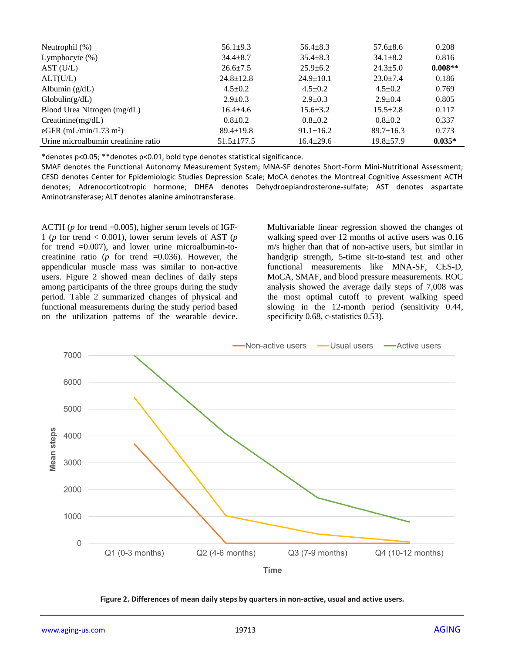| Neutrophil $(\%)$                   | $56.1 \pm 9.3$   | $56.4 \pm 8.3$  | $57.6 \pm 8.6$  | 0.208     |
|-------------------------------------|------------------|-----------------|-----------------|-----------|
| Lymphocyte $(\%)$                   | $34.4 \pm 8.7$   | $35.4 \pm 8.3$  | $34.1 \pm 8.2$  | 0.816     |
| AST (U/L)                           | $26.6 \pm 7.5$   | $25.9 \pm 6.2$  | $24.3 \pm 5.0$  | $0.008**$ |
| ALT(U/L)                            | $24.8 \pm 12.8$  | $24.9 \pm 10.1$ | $23.0 \pm 7.4$  | 0.186     |
| Albumin $(g/dL)$                    | $4.5 \pm 0.2$    | $4.5 \pm 0.2$   | $4.5 \pm 0.2$   | 0.769     |
| Globalin(g/dL)                      | $2.9 \pm 0.3$    | $2.9 \pm 0.3$   | $2.9 + 0.4$     | 0.805     |
| Blood Urea Nitrogen (mg/dL)         | $16.4 + 4.6$     | $15.6 \pm 3.2$  | $15.5 \pm 2.8$  | 0.117     |
| $C$ reatinine $(mg/dL)$             | $0.8 \pm 0.2$    | $0.8 \pm 0.2$   | $0.8{\pm}0.2$   | 0.337     |
| eGFR (mL/min/1.73 m <sup>2</sup> )  | $89.4 \pm 19.8$  | $91.1 \pm 16.2$ | $89.7 \pm 16.3$ | 0.773     |
| Urine microalbumin creatinine ratio | $51.5 \pm 177.5$ | $16.4 \pm 29.6$ | $19.8 \pm 57.9$ | $0.035*$  |

\*denotes p<0.05; \*\*denotes p<0.01, bold type denotes statistical significance.

SMAF denotes the Functional Autonomy Measurement System; MNA-SF denotes Short-Form Mini-Nutritional Assessment; CESD denotes Center for Epidemiologic Studies Depression Scale; MoCA denotes the Montreal Cognitive Assessment ACTH denotes; Adrenocorticotropic hormone; DHEA denotes Dehydroepiandrosterone-sulfate; AST denotes aspartate Aminotransferase; ALT denotes alanine aminotransferase.

ACTH ( $p$  for trend =0.005), higher serum levels of IGF-1 ( $p$  for trend < 0.001), lower serum levels of AST ( $p$ ) for trend  $=0.007$ ), and lower urine microalbumin-tocreatinine ratio ( $p$  for trend  $=0.036$ ). However, the appendicular muscle mass was similar to non-active users. Figure 2 showed mean declines of daily steps among participants of the three groups during the study period. Table 2 summarized changes of physical and functional measurements during the study period based on the utilization patterns of the wearable device. Multivariable linear regression showed the changes of walking speed over 12 months of active users was 0.16 m/s higher than that of non-active users, but similar in handgrip strength, 5-time sit-to-stand test and other functional measurements like MNA-SF, CES-D, MoCA, SMAF, and blood pressure measurements. ROC analysis showed the average daily steps of 7,008 was the most optimal cutoff to prevent walking speed slowing in the 12-month period (sensitivity 0.44, specificity 0.68, c-statistics 0.53).



**Figure 2. Differences of mean daily steps by quarters in non-active, usual and active users.**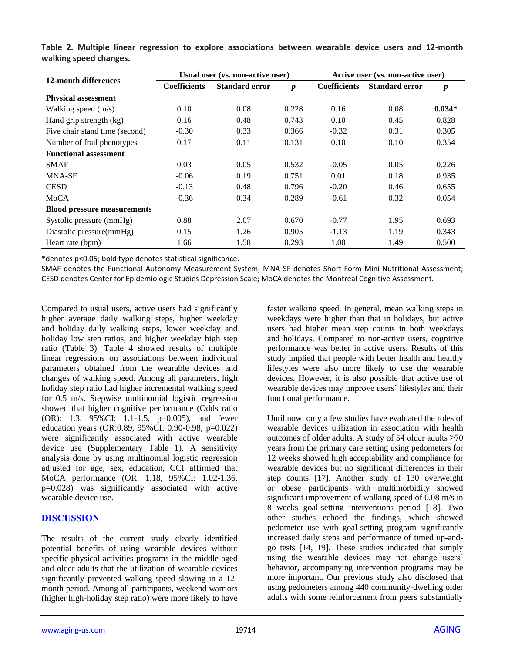| 12-month differences               | Usual user (vs. non-active user) |                       |                  | Active user (vs. non-active user) |                       |          |
|------------------------------------|----------------------------------|-----------------------|------------------|-----------------------------------|-----------------------|----------|
|                                    | <b>Coefficients</b>              | <b>Standard error</b> | $\boldsymbol{p}$ | <b>Coefficients</b>               | <b>Standard error</b> | p        |
| <b>Physical assessment</b>         |                                  |                       |                  |                                   |                       |          |
| Walking speed $(m/s)$              | 0.10                             | 0.08                  | 0.228            | 0.16                              | 0.08                  | $0.034*$ |
| Hand grip strength (kg)            | 0.16                             | 0.48                  | 0.743            | 0.10                              | 0.45                  | 0.828    |
| Five chair stand time (second)     | $-0.30$                          | 0.33                  | 0.366            | $-0.32$                           | 0.31                  | 0.305    |
| Number of frail phenotypes         | 0.17                             | 0.11                  | 0.131            | 0.10                              | 0.10                  | 0.354    |
| <b>Functional assessment</b>       |                                  |                       |                  |                                   |                       |          |
| <b>SMAF</b>                        | 0.03                             | 0.05                  | 0.532            | $-0.05$                           | 0.05                  | 0.226    |
| MNA-SF                             | $-0.06$                          | 0.19                  | 0.751            | 0.01                              | 0.18                  | 0.935    |
| <b>CESD</b>                        | $-0.13$                          | 0.48                  | 0.796            | $-0.20$                           | 0.46                  | 0.655    |
| <b>MoCA</b>                        | $-0.36$                          | 0.34                  | 0.289            | $-0.61$                           | 0.32                  | 0.054    |
| <b>Blood pressure measurements</b> |                                  |                       |                  |                                   |                       |          |
| Systolic pressure (mmHg)           | 0.88                             | 2.07                  | 0.670            | $-0.77$                           | 1.95                  | 0.693    |
| Diastolic pressure(mmHg)           | 0.15                             | 1.26                  | 0.905            | $-1.13$                           | 1.19                  | 0.343    |
| Heart rate (bpm)                   | 1.66                             | 1.58                  | 0.293            | 1.00                              | 1.49                  | 0.500    |

**Table 2. Multiple linear regression to explore associations between wearable device users and 12-month walking speed changes.**

\*denotes p<0.05; bold type denotes statistical significance.

SMAF denotes the Functional Autonomy Measurement System; MNA-SF denotes Short-Form Mini-Nutritional Assessment; CESD denotes Center for Epidemiologic Studies Depression Scale; MoCA denotes the Montreal Cognitive Assessment.

Compared to usual users, active users had significantly higher average daily walking steps, higher weekday and holiday daily walking steps, lower weekday and holiday low step ratios, and higher weekday high step ratio (Table 3). Table 4 showed results of multiple linear regressions on associations between individual parameters obtained from the wearable devices and changes of walking speed. Among all parameters, high holiday step ratio had higher incremental walking speed for 0.5 m/s. Stepwise multinomial logistic regression showed that higher cognitive performance (Odds ratio (OR): 1.3, 95%CI: 1.1-1.5, p=0.005), and fewer education years (OR:0.89, 95%CI: 0.90-0.98, p=0.022) were significantly associated with active wearable device use (Supplementary Table 1). A sensitivity analysis done by using multinomial logistic regression adjusted for age, sex, education, CCI affirmed that MoCA performance (OR: 1.18, 95%CI: 1.02-1.36, p=0.028) was significantly associated with active wearable device use.

## **DISCUSSION**

The results of the current study clearly identified potential benefits of using wearable devices without specific physical activities programs in the middle-aged and older adults that the utilization of wearable devices significantly prevented walking speed slowing in a 12 month period. Among all participants, weekend warriors (higher high-holiday step ratio) were more likely to have faster walking speed. In general, mean walking steps in weekdays were higher than that in holidays, but active users had higher mean step counts in both weekdays and holidays. Compared to non-active users, cognitive performance was better in active users. Results of this study implied that people with better health and healthy lifestyles were also more likely to use the wearable devices. However, it is also possible that active use of wearable devices may improve users' lifestyles and their functional performance.

Until now, only a few studies have evaluated the roles of wearable devices utilization in association with health outcomes of older adults. A study of 54 older adults  $\geq 70$ years from the primary care setting using pedometers for 12 weeks showed high acceptability and compliance for wearable devices but no significant differences in their step counts [17]. Another study of 130 overweight or obese participants with multimorbidity showed significant improvement of walking speed of 0.08 m/s in 8 weeks goal-setting interventions period [18]. Two other studies echoed the findings, which showed pedometer use with goal-setting program significantly increased daily steps and performance of timed up-andgo tests [14, 19]. These studies indicated that simply using the wearable devices may not change users' behavior, accompanying intervention programs may be more important. Our previous study also disclosed that using pedometers among 440 community-dwelling older adults with some reinforcement from peers substantially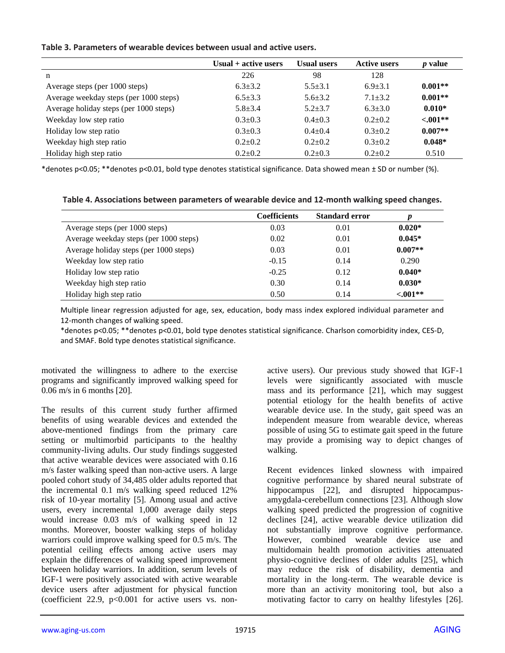#### **Table 3. Parameters of wearable devices between usual and active users.**

|                                        | Usual $+$ active users | <b>Usual users</b> | <b>Active users</b> | <i>p</i> value |
|----------------------------------------|------------------------|--------------------|---------------------|----------------|
| n                                      | 226                    | 98                 | 128                 |                |
| Average steps (per 1000 steps)         | $6.3 \pm 3.2$          | $5.5 + 3.1$        | $6.9{\pm}3.1$       | $0.001**$      |
| Average weekday steps (per 1000 steps) | $6.5 \pm 3.3$          | $5.6 + 3.2$        | $7.1 \pm 3.2$       | $0.001**$      |
| Average holiday steps (per 1000 steps) | $5.8 \pm 3.4$          | $5.2 + 3.7$        | $6.3 \pm 3.0$       | $0.010*$       |
| Weekday low step ratio                 | $0.3 \pm 0.3$          | $0.4 + 0.3$        | $0.2+0.2$           | $< 0.01**$     |
| Holiday low step ratio                 | $0.3 \pm 0.3$          | $0.4 + 0.4$        | $0.3 \pm 0.2$       | $0.007**$      |
| Weekday high step ratio                | $0.2 \pm 0.2$          | $0.2+0.2$          | $0.3+0.2$           | $0.048*$       |
| Holiday high step ratio                | $0.2 \pm 0.2$          | $0.2 \pm 0.3$      | $0.2 \pm 0.2$       | 0.510          |

\*denotes p<0.05; \*\*denotes p<0.01, bold type denotes statistical significance. Data showed mean ± SD or number (%).

|  |  | Table 4. Associations between parameters of wearable device and 12-month walking speed changes. |
|--|--|-------------------------------------------------------------------------------------------------|
|--|--|-------------------------------------------------------------------------------------------------|

|                                        | Coefficients | <b>Standard error</b> | D          |
|----------------------------------------|--------------|-----------------------|------------|
| Average steps (per 1000 steps)         | 0.03         | 0.01                  | $0.020*$   |
| Average weekday steps (per 1000 steps) | 0.02         | 0.01                  | $0.045*$   |
| Average holiday steps (per 1000 steps) | 0.03         | 0.01                  | $0.007**$  |
| Weekday low step ratio                 | $-0.15$      | 0.14                  | 0.290      |
| Holiday low step ratio                 | $-0.25$      | 0.12                  | $0.040*$   |
| Weekday high step ratio                | 0.30         | 0.14                  | $0.030*$   |
| Holiday high step ratio                | 0.50         | 0.14                  | $< 0.01**$ |

Multiple linear regression adjusted for age, sex, education, body mass index explored individual parameter and 12-month changes of walking speed.

\*denotes p<0.05; \*\*denotes p<0.01, bold type denotes statistical significance. Charlson comorbidity index, CES-D, and SMAF. Bold type denotes statistical significance.

motivated the willingness to adhere to the exercise programs and significantly improved walking speed for 0.06 m/s in 6 months [20].

The results of this current study further affirmed benefits of using wearable devices and extended the above-mentioned findings from the primary care setting or multimorbid participants to the healthy community-living adults. Our study findings suggested that active wearable devices were associated with 0.16 m/s faster walking speed than non-active users. A large pooled cohort study of 34,485 older adults reported that the incremental 0.1 m/s walking speed reduced 12% risk of 10-year mortality [5]. Among usual and active users, every incremental 1,000 average daily steps would increase 0.03 m/s of walking speed in 12 months. Moreover, booster walking steps of holiday warriors could improve walking speed for 0.5 m/s. The potential ceiling effects among active users may explain the differences of walking speed improvement between holiday warriors. In addition, serum levels of IGF-1 were positively associated with active wearable device users after adjustment for physical function (coefficient 22.9,  $p<0.001$  for active users vs. nonactive users). Our previous study showed that IGF-1 levels were significantly associated with muscle mass and its performance [21], which may suggest potential etiology for the health benefits of active wearable device use. In the study, gait speed was an independent measure from wearable device, whereas possible of using 5G to estimate gait speed in the future may provide a promising way to depict changes of walking.

Recent evidences linked slowness with impaired cognitive performance by shared neural substrate of hippocampus [22], and disrupted hippocampusamygdala-cerebellum connections [23]. Although slow walking speed predicted the progression of cognitive declines [24], active wearable device utilization did not substantially improve cognitive performance. However, combined wearable device use and multidomain health promotion activities attenuated physio-cognitive declines of older adults [25], which may reduce the risk of disability, dementia and mortality in the long-term. The wearable device is more than an activity monitoring tool, but also a motivating factor to carry on healthy lifestyles [26].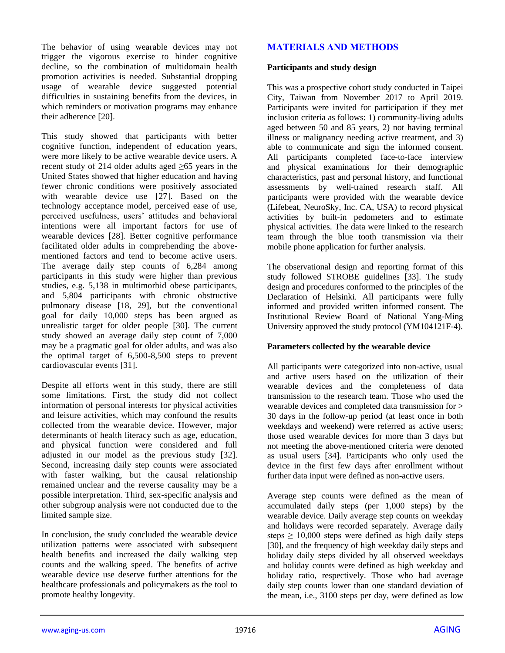The behavior of using wearable devices may not trigger the vigorous exercise to hinder cognitive decline, so the combination of multidomain health promotion activities is needed. Substantial dropping usage of wearable device suggested potential difficulties in sustaining benefits from the devices, in which reminders or motivation programs may enhance their adherence [20].

This study showed that participants with better cognitive function, independent of education years, were more likely to be active wearable device users. A recent study of 214 older adults aged ≥65 years in the United States showed that higher education and having fewer chronic conditions were positively associated with wearable device use [27]. Based on the technology acceptance model, perceived ease of use, perceived usefulness, users' attitudes and behavioral intentions were all important factors for use of wearable devices [28]. Better cognitive performance facilitated older adults in comprehending the abovementioned factors and tend to become active users. The average daily step counts of 6,284 among participants in this study were higher than previous studies, e.g. 5,138 in multimorbid obese participants, and 5,804 participants with chronic obstructive pulmonary disease [18, 29], but the conventional goal for daily 10,000 steps has been argued as unrealistic target for older people [30]. The current study showed an average daily step count of 7,000 may be a pragmatic goal for older adults, and was also the optimal target of 6,500-8,500 steps to prevent cardiovascular events [31].

Despite all efforts went in this study, there are still some limitations. First, the study did not collect information of personal interests for physical activities and leisure activities, which may confound the results collected from the wearable device. However, major determinants of health literacy such as age, education, and physical function were considered and full adjusted in our model as the previous study [32]. Second, increasing daily step counts were associated with faster walking, but the causal relationship remained unclear and the reverse causality may be a possible interpretation. Third, sex-specific analysis and other subgroup analysis were not conducted due to the limited sample size.

In conclusion, the study concluded the wearable device utilization patterns were associated with subsequent health benefits and increased the daily walking step counts and the walking speed. The benefits of active wearable device use deserve further attentions for the healthcare professionals and policymakers as the tool to promote healthy longevity.

# **MATERIALS AND METHODS**

#### **Participants and study design**

This was a prospective cohort study conducted in Taipei City, Taiwan from November 2017 to April 2019. Participants were invited for participation if they met inclusion criteria as follows: 1) community-living adults aged between 50 and 85 years, 2) not having terminal illness or malignancy needing active treatment, and 3) able to communicate and sign the informed consent. All participants completed face-to-face interview and physical examinations for their demographic characteristics, past and personal history, and functional assessments by well-trained research staff. All participants were provided with the wearable device (Lifebeat, NeuroSky, Inc. CA, USA) to record physical activities by built-in pedometers and to estimate physical activities. The data were linked to the research team through the blue tooth transmission via their mobile phone application for further analysis.

The observational design and reporting format of this study followed STROBE guidelines [33]. The study design and procedures conformed to the principles of the Declaration of Helsinki. All participants were fully informed and provided written informed consent. The Institutional Review Board of National Yang-Ming University approved the study protocol (YM104121F-4).

#### **Parameters collected by the wearable device**

All participants were categorized into non-active, usual and active users based on the utilization of their wearable devices and the completeness of data transmission to the research team. Those who used the wearable devices and completed data transmission for > 30 days in the follow-up period (at least once in both weekdays and weekend) were referred as active users; those used wearable devices for more than 3 days but not meeting the above-mentioned criteria were denoted as usual users [34]. Participants who only used the device in the first few days after enrollment without further data input were defined as non-active users.

Average step counts were defined as the mean of accumulated daily steps (per 1,000 steps) by the wearable device. Daily average step counts on weekday and holidays were recorded separately. Average daily steps  $\geq$  10,000 steps were defined as high daily steps [30], and the frequency of high weekday daily steps and holiday daily steps divided by all observed weekdays and holiday counts were defined as high weekday and holiday ratio, respectively. Those who had average daily step counts lower than one standard deviation of the mean, i.e., 3100 steps per day, were defined as low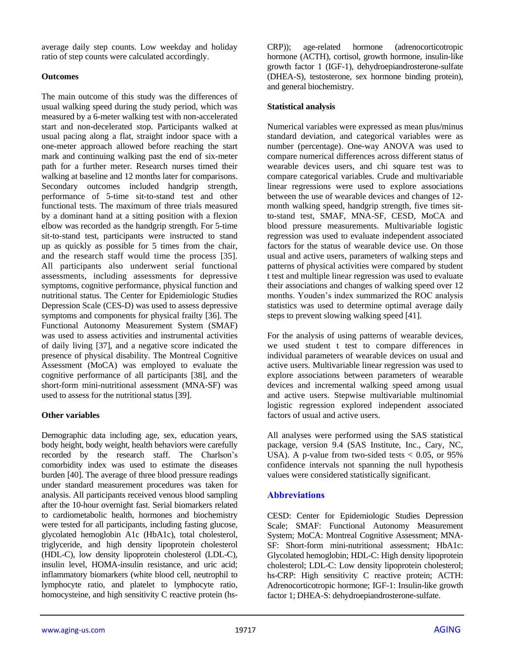average daily step counts. Low weekday and holiday ratio of step counts were calculated accordingly.

# **Outcomes**

The main outcome of this study was the differences of usual walking speed during the study period, which was measured by a 6-meter walking test with non-accelerated start and non-decelerated stop. Participants walked at usual pacing along a flat, straight indoor space with a one-meter approach allowed before reaching the start mark and continuing walking past the end of six-meter path for a further meter. Research nurses timed their walking at baseline and 12 months later for comparisons. Secondary outcomes included handgrip strength, performance of 5-time sit-to-stand test and other functional tests. The maximum of three trials measured by a dominant hand at a sitting position with a flexion elbow was recorded as the handgrip strength. For 5-time sit-to-stand test, participants were instructed to stand up as quickly as possible for 5 times from the chair, and the research staff would time the process [35]. All participants also underwent serial functional assessments, including assessments for depressive symptoms, cognitive performance, physical function and nutritional status. The Center for Epidemiologic Studies Depression Scale (CES-D) was used to assess depressive symptoms and components for physical frailty [36]. The Functional Autonomy Measurement System (SMAF) was used to assess activities and instrumental activities of daily living [37], and a negative score indicated the presence of physical disability. The Montreal Cognitive Assessment (MoCA) was employed to evaluate the cognitive performance of all participants [38], and the short-form mini-nutritional assessment (MNA-SF) was used to assess for the nutritional status [39].

# **Other variables**

Demographic data including age, sex, education years, body height, body weight, health behaviors were carefully recorded by the research staff. The Charlson's comorbidity index was used to estimate the diseases burden [40]. The average of three blood pressure readings under standard measurement procedures was taken for analysis. All participants received venous blood sampling after the 10-hour overnight fast. Serial biomarkers related to cardiometabolic health, hormones and biochemistry were tested for all participants, including fasting glucose, glycolated hemoglobin A1c (HbA1c), total cholesterol, triglyceride, and high density lipoprotein cholesterol (HDL-C), low density lipoprotein cholesterol (LDL-C), insulin level, HOMA-insulin resistance, and uric acid; inflammatory biomarkers (white blood cell, neutrophil to lymphocyte ratio, and platelet to lymphocyte ratio, homocysteine, and high sensitivity C reactive protein (hsCRP)); age-related hormone (adrenocorticotropic hormone (ACTH), cortisol, growth hormone, insulin-like growth factor 1 (IGF-1), dehydroepiandrosterone-sulfate (DHEA-S), testosterone, sex hormone binding protein), and general biochemistry.

# **Statistical analysis**

Numerical variables were expressed as mean plus/minus standard deviation, and categorical variables were as number (percentage). One-way ANOVA was used to compare numerical differences across different status of wearable devices users, and chi square test was to compare categorical variables. Crude and multivariable linear regressions were used to explore associations between the use of wearable devices and changes of 12 month walking speed, handgrip strength, five times sitto-stand test, SMAF, MNA-SF, CESD, MoCA and blood pressure measurements. Multivariable logistic regression was used to evaluate independent associated factors for the status of wearable device use. On those usual and active users, parameters of walking steps and patterns of physical activities were compared by student t test and multiple linear regression was used to evaluate their associations and changes of walking speed over 12 months. Youden's index summarized the ROC analysis statistics was used to determine optimal average daily steps to prevent slowing walking speed [41].

For the analysis of using patterns of wearable devices, we used student t test to compare differences in individual parameters of wearable devices on usual and active users. Multivariable linear regression was used to explore associations between parameters of wearable devices and incremental walking speed among usual and active users. Stepwise multivariable multinomial logistic regression explored independent associated factors of usual and active users.

All analyses were performed using the SAS statistical package, version 9.4 (SAS Institute, Inc., Cary, NC, USA). A p-value from two-sided tests  $< 0.05$ , or 95% confidence intervals not spanning the null hypothesis values were considered statistically significant.

# **Abbreviations**

CESD: Center for Epidemiologic Studies Depression Scale; SMAF: Functional Autonomy Measurement System; MoCA: Montreal Cognitive Assessment; MNA-SF: Short-form mini-nutritional assessment; HbA1c: Glycolated hemoglobin; HDL-C: High density lipoprotein cholesterol; LDL-C: Low density lipoprotein cholesterol; hs-CRP: High sensitivity C reactive protein; ACTH: Adrenocorticotropic hormone; IGF-1: Insulin-like growth factor 1; DHEA-S: dehydroepiandrosterone-sulfate.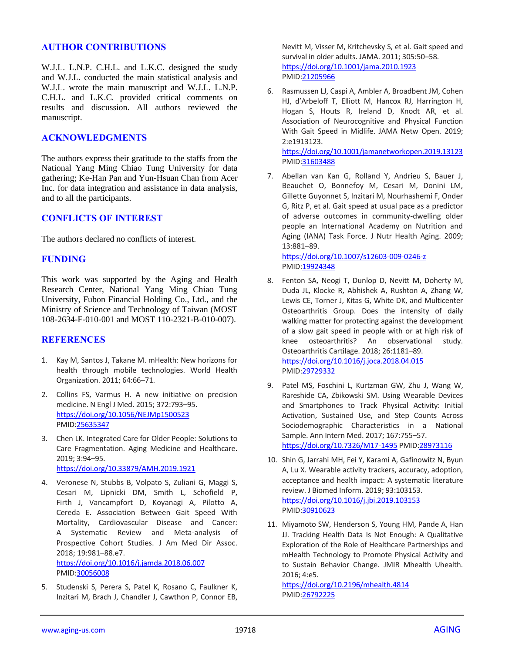## **AUTHOR CONTRIBUTIONS**

W.J.L. L.N.P. C.H.L. and L.K.C. designed the study and W.J.L. conducted the main statistical analysis and W.J.L. wrote the main manuscript and W.J.L. L.N.P. C.H.L. and L.K.C. provided critical comments on results and discussion. All authors reviewed the manuscript.

## **ACKNOWLEDGMENTS**

The authors express their gratitude to the staffs from the National Yang Ming Chiao Tung University for data gathering; Ke-Han Pan and Yun-Hsuan Chan from Acer Inc. for data integration and assistance in data analysis, and to all the participants.

#### **CONFLICTS OF INTEREST**

The authors declared no conflicts of interest.

## **FUNDING**

This work was supported by the Aging and Health Research Center, National Yang Ming Chiao Tung University, Fubon Financial Holding Co., Ltd., and the Ministry of Science and Technology of Taiwan (MOST 108-2634-F-010-001 and MOST 110-2321-B-010-007).

#### **REFERENCES**

- 1. Kay M, Santos J, Takane M. mHealth: New horizons for health through mobile technologies. World Health Organization. 2011; 64:66–71.
- 2. Collins FS, Varmus H. A new initiative on precision medicine. N Engl J Med. 2015; 372:793–95. <https://doi.org/10.1056/NEJMp1500523> PMID[:25635347](https://pubmed.ncbi.nlm.nih.gov/25635347)
- 3. Chen LK. Integrated Care for Older People: Solutions to Care Fragmentation. Aging Medicine and Healthcare. 2019; 3:94–95. <https://doi.org/10.33879/AMH.2019.1921>
- 4. Veronese N, Stubbs B, Volpato S, Zuliani G, Maggi S, Cesari M, Lipnicki DM, Smith L, Schofield P, Firth J, Vancampfort D, Koyanagi A, Pilotto A, Cereda E. Association Between Gait Speed With Mortality, Cardiovascular Disease and Cancer: A Systematic Review and Meta-analysis of Prospective Cohort Studies. J Am Med Dir Assoc. 2018; 19:981–88.e7.

<https://doi.org/10.1016/j.jamda.2018.06.007> PMID[:30056008](https://pubmed.ncbi.nlm.nih.gov/30056008)

5. Studenski S, Perera S, Patel K, Rosano C, Faulkner K, Inzitari M, Brach J, Chandler J, Cawthon P, Connor EB,

Nevitt M, Visser M, Kritchevsky S, et al. Gait speed and survival in older adults. JAMA. 2011; 305:50–58. <https://doi.org/10.1001/jama.2010.1923> PMI[D:21205966](https://pubmed.ncbi.nlm.nih.gov/21205966)

6. Rasmussen LJ, Caspi A, Ambler A, Broadbent JM, Cohen HJ, d'Arbeloff T, Elliott M, Hancox RJ, Harrington H, Hogan S, Houts R, Ireland D, Knodt AR, et al. Association of Neurocognitive and Physical Function With Gait Speed in Midlife. JAMA Netw Open. 2019; 2:e1913123. <https://doi.org/10.1001/jamanetworkopen.2019.13123>

PMI[D:31603488](https://pubmed.ncbi.nlm.nih.gov/31603488)

7. Abellan van Kan G, Rolland Y, Andrieu S, Bauer J, Beauchet O, Bonnefoy M, Cesari M, Donini LM, Gillette Guyonnet S, Inzitari M, Nourhashemi F, Onder G, Ritz P, et al. Gait speed at usual pace as a predictor of adverse outcomes in community-dwelling older people an International Academy on Nutrition and Aging (IANA) Task Force. J Nutr Health Aging. 2009; 13:881–89.

<https://doi.org/10.1007/s12603-009-0246-z> PMI[D:19924348](https://pubmed.ncbi.nlm.nih.gov/19924348)

- 8. Fenton SA, Neogi T, Dunlop D, Nevitt M, Doherty M, Duda JL, Klocke R, Abhishek A, Rushton A, Zhang W, Lewis CE, Torner J, Kitas G, White DK, and Multicenter Osteoarthritis Group. Does the intensity of daily walking matter for protecting against the development of a slow gait speed in people with or at high risk of knee osteoarthritis? An observational study. Osteoarthritis Cartilage. 2018; 26:1181–89. <https://doi.org/10.1016/j.joca.2018.04.015> PMI[D:29729332](https://pubmed.ncbi.nlm.nih.gov/29729332)
- 9. Patel MS, Foschini L, Kurtzman GW, Zhu J, Wang W, Rareshide CA, Zbikowski SM. Using Wearable Devices and Smartphones to Track Physical Activity: Initial Activation, Sustained Use, and Step Counts Across Sociodemographic Characteristics in a National Sample. Ann Intern Med. 2017; 167:755–57. <https://doi.org/10.7326/M17-1495> PMI[D:28973116](https://pubmed.ncbi.nlm.nih.gov/28973116)
- 10. Shin G, Jarrahi MH, Fei Y, Karami A, Gafinowitz N, Byun A, Lu X. Wearable activity trackers, accuracy, adoption, acceptance and health impact: A systematic literature review. J Biomed Inform. 2019; 93:103153. <https://doi.org/10.1016/j.jbi.2019.103153> PMI[D:30910623](https://pubmed.ncbi.nlm.nih.gov/30910623)
- 11. Miyamoto SW, Henderson S, Young HM, Pande A, Han JJ. Tracking Health Data Is Not Enough: A Qualitative Exploration of the Role of Healthcare Partnerships and mHealth Technology to Promote Physical Activity and to Sustain Behavior Change. JMIR Mhealth Uhealth. 2016; 4:e5.

<https://doi.org/10.2196/mhealth.4814> PMI[D:26792225](https://pubmed.ncbi.nlm.nih.gov/26792225)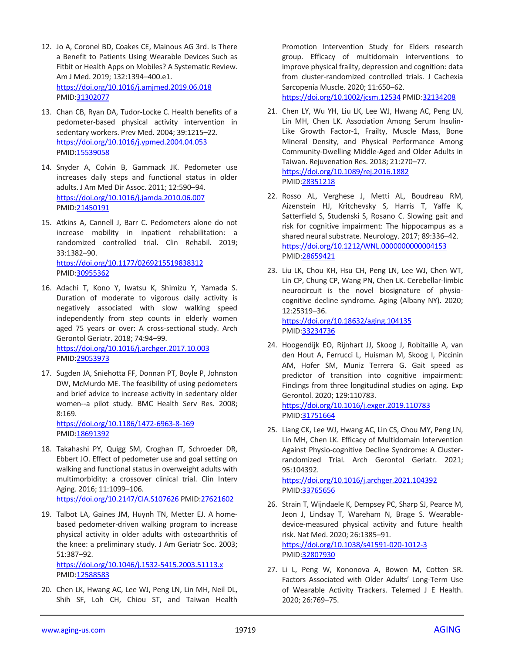- 12. Jo A, Coronel BD, Coakes CE, Mainous AG 3rd. Is There a Benefit to Patients Using Wearable Devices Such as Fitbit or Health Apps on Mobiles? A Systematic Review. Am J Med. 2019; 132:1394–400.e1. <https://doi.org/10.1016/j.amjmed.2019.06.018> PMID[:31302077](https://pubmed.ncbi.nlm.nih.gov/31302077)
- 13. Chan CB, Ryan DA, Tudor-Locke C. Health benefits of a pedometer-based physical activity intervention in sedentary workers. Prev Med. 2004; 39:1215–22. <https://doi.org/10.1016/j.ypmed.2004.04.053> PMID[:15539058](https://pubmed.ncbi.nlm.nih.gov/15539058)
- 14. Snyder A, Colvin B, Gammack JK. Pedometer use increases daily steps and functional status in older adults. J Am Med Dir Assoc. 2011; 12:590–94. <https://doi.org/10.1016/j.jamda.2010.06.007> PMID[:21450191](https://pubmed.ncbi.nlm.nih.gov/21450191)
- 15. Atkins A, Cannell J, Barr C. Pedometers alone do not increase mobility in inpatient rehabilitation: a randomized controlled trial. Clin Rehabil. 2019; 33:1382–90. <https://doi.org/10.1177/0269215519838312> PMID[:30955362](https://pubmed.ncbi.nlm.nih.gov/30955362)
- 16. Adachi T, Kono Y, Iwatsu K, Shimizu Y, Yamada S. Duration of moderate to vigorous daily activity is negatively associated with slow walking speed independently from step counts in elderly women aged 75 years or over: A cross-sectional study. Arch Gerontol Geriatr. 2018; 74:94–99. <https://doi.org/10.1016/j.archger.2017.10.003> PMID[:29053973](https://pubmed.ncbi.nlm.nih.gov/29053973)
- 17. Sugden JA, Sniehotta FF, Donnan PT, Boyle P, Johnston DW, McMurdo ME. The feasibility of using pedometers and brief advice to increase activity in sedentary older women--a pilot study. BMC Health Serv Res. 2008; 8:169.

<https://doi.org/10.1186/1472-6963-8-169> PMID[:18691392](https://pubmed.ncbi.nlm.nih.gov/18691392)

- 18. Takahashi PY, Quigg SM, Croghan IT, Schroeder DR, Ebbert JO. Effect of pedometer use and goal setting on walking and functional status in overweight adults with multimorbidity: a crossover clinical trial. Clin Interv Aging. 2016; 11:1099–106. <https://doi.org/10.2147/CIA.S107626> PMID[:27621602](https://pubmed.ncbi.nlm.nih.gov/27621602)
- 19. Talbot LA, Gaines JM, Huynh TN, Metter EJ. A homebased pedometer-driven walking program to increase physical activity in older adults with osteoarthritis of the knee: a preliminary study. J Am Geriatr Soc. 2003; 51:387–92.

<https://doi.org/10.1046/j.1532-5415.2003.51113.x> PMID[:12588583](https://pubmed.ncbi.nlm.nih.gov/12588583)

20. Chen LK, Hwang AC, Lee WJ, Peng LN, Lin MH, Neil DL, Shih SF, Loh CH, Chiou ST, and Taiwan Health

Promotion Intervention Study for Elders research group. Efficacy of multidomain interventions to improve physical frailty, depression and cognition: data from cluster-randomized controlled trials. J Cachexia Sarcopenia Muscle. 2020; 11:650–62. <https://doi.org/10.1002/jcsm.12534> PMI[D:32134208](https://pubmed.ncbi.nlm.nih.gov/32134208)

- 21. Chen LY, Wu YH, Liu LK, Lee WJ, Hwang AC, Peng LN, Lin MH, Chen LK. Association Among Serum Insulin-Like Growth Factor-1, Frailty, Muscle Mass, Bone Mineral Density, and Physical Performance Among Community-Dwelling Middle-Aged and Older Adults in Taiwan. Rejuvenation Res. 2018; 21:270–77. <https://doi.org/10.1089/rej.2016.1882> PMI[D:28351218](https://pubmed.ncbi.nlm.nih.gov/28351218)
- 22. Rosso AL, Verghese J, Metti AL, Boudreau RM, Aizenstein HJ, Kritchevsky S, Harris T, Yaffe K, Satterfield S, Studenski S, Rosano C. Slowing gait and risk for cognitive impairment: The hippocampus as a shared neural substrate. Neurology. 2017; 89:336–42. <https://doi.org/10.1212/WNL.0000000000004153> PMI[D:28659421](https://pubmed.ncbi.nlm.nih.gov/28659421)
- 23. Liu LK, Chou KH, Hsu CH, Peng LN, Lee WJ, Chen WT, Lin CP, Chung CP, Wang PN, Chen LK. Cerebellar-limbic neurocircuit is the novel biosignature of physiocognitive decline syndrome. Aging (Albany NY). 2020; 12:25319–36. <https://doi.org/10.18632/aging.104135>

PMI[D:33234736](https://pubmed.ncbi.nlm.nih.gov/33234736)

24. Hoogendijk EO, Rijnhart JJ, Skoog J, Robitaille A, van den Hout A, Ferrucci L, Huisman M, Skoog I, Piccinin AM, Hofer SM, Muniz Terrera G. Gait speed as predictor of transition into cognitive impairment: Findings from three longitudinal studies on aging. Exp Gerontol. 2020; 129:110783. <https://doi.org/10.1016/j.exger.2019.110783>

PMI[D:31751664](https://pubmed.ncbi.nlm.nih.gov/31751664)

25. Liang CK, Lee WJ, Hwang AC, Lin CS, Chou MY, Peng LN, Lin MH, Chen LK. Efficacy of Multidomain Intervention Against Physio-cognitive Decline Syndrome: A Clusterrandomized Trial. Arch Gerontol Geriatr. 2021; 95:104392.

<https://doi.org/10.1016/j.archger.2021.104392> PMI[D:33765656](https://pubmed.ncbi.nlm.nih.gov/33765656)

- 26. Strain T, Wijndaele K, Dempsey PC, Sharp SJ, Pearce M, Jeon J, Lindsay T, Wareham N, Brage S. Wearabledevice-measured physical activity and future health risk. Nat Med. 2020; 26:1385–91. <https://doi.org/10.1038/s41591-020-1012-3> PMI[D:32807930](https://pubmed.ncbi.nlm.nih.gov/32807930)
- 27. Li L, Peng W, Kononova A, Bowen M, Cotten SR. Factors Associated with Older Adults' Long-Term Use of Wearable Activity Trackers. Telemed J E Health. 2020; 26:769–75.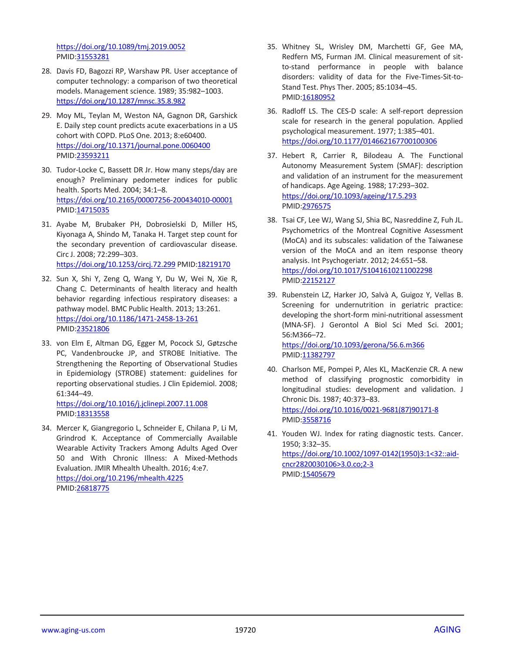<https://doi.org/10.1089/tmj.2019.0052> PMID[:31553281](https://pubmed.ncbi.nlm.nih.gov/31553281)

- 28. Davis FD, Bagozzi RP, Warshaw PR. User acceptance of computer technology: a comparison of two theoretical models. Management science. 1989; 35:982–1003. <https://doi.org/10.1287/mnsc.35.8.982>
- 29. Moy ML, Teylan M, Weston NA, Gagnon DR, Garshick E. Daily step count predicts acute exacerbations in a US cohort with COPD. PLoS One. 2013; 8:e60400. <https://doi.org/10.1371/journal.pone.0060400> PMID[:23593211](https://pubmed.ncbi.nlm.nih.gov/23593211)
- 30. Tudor-Locke C, Bassett DR Jr. How many steps/day are enough? Preliminary pedometer indices for public health. Sports Med. 2004; 34:1–8. <https://doi.org/10.2165/00007256-200434010-00001> PMID[:14715035](https://pubmed.ncbi.nlm.nih.gov/14715035)
- 31. Ayabe M, Brubaker PH, Dobrosielski D, Miller HS, Kiyonaga A, Shindo M, Tanaka H. Target step count for the secondary prevention of cardiovascular disease. Circ J. 2008; 72:299–303. <https://doi.org/10.1253/circj.72.299> PMI[D:18219170](https://pubmed.ncbi.nlm.nih.gov/18219170)
- 32. Sun X, Shi Y, Zeng Q, Wang Y, Du W, Wei N, Xie R, Chang C. Determinants of health literacy and health behavior regarding infectious respiratory diseases: a pathway model. BMC Public Health. 2013; 13:261. <https://doi.org/10.1186/1471-2458-13-261> PMID[:23521806](https://pubmed.ncbi.nlm.nih.gov/23521806)
- 33. von Elm E, Altman DG, Egger M, Pocock SJ, Gøtzsche PC, Vandenbroucke JP, and STROBE Initiative. The Strengthening the Reporting of Observational Studies in Epidemiology (STROBE) statement: guidelines for reporting observational studies. J Clin Epidemiol. 2008; 61:344–49. <https://doi.org/10.1016/j.jclinepi.2007.11.008>

PMID[:18313558](https://pubmed.ncbi.nlm.nih.gov/18313558)

34. Mercer K, Giangregorio L, Schneider E, Chilana P, Li M, Grindrod K. Acceptance of Commercially Available Wearable Activity Trackers Among Adults Aged Over 50 and With Chronic Illness: A Mixed-Methods Evaluation. JMIR Mhealth Uhealth. 2016; 4:e7. <https://doi.org/10.2196/mhealth.4225> PMID[:26818775](https://pubmed.ncbi.nlm.nih.gov/26818775)

- 35. Whitney SL, Wrisley DM, Marchetti GF, Gee MA, Redfern MS, Furman JM. Clinical measurement of sitto-stand performance in people with balance disorders: validity of data for the Five-Times-Sit-to-Stand Test. Phys Ther. 2005; 85:1034–45. PMI[D:16180952](https://pubmed.ncbi.nlm.nih.gov/16180952)
- 36. Radloff LS. The CES-D scale: A self-report depression scale for research in the general population. Applied psychological measurement. 1977; 1:385–401. <https://doi.org/10.1177/014662167700100306>
- 37. Hebert R, Carrier R, Bilodeau A. The Functional Autonomy Measurement System (SMAF): description and validation of an instrument for the measurement of handicaps. Age Ageing. 1988; 17:293–302. <https://doi.org/10.1093/ageing/17.5.293> PMI[D:2976575](https://pubmed.ncbi.nlm.nih.gov/2976575)
- 38. Tsai CF, Lee WJ, Wang SJ, Shia BC, Nasreddine Z, Fuh JL. Psychometrics of the Montreal Cognitive Assessment (MoCA) and its subscales: validation of the Taiwanese version of the MoCA and an item response theory analysis. Int Psychogeriatr. 2012; 24:651–58. <https://doi.org/10.1017/S1041610211002298> PMI[D:22152127](https://pubmed.ncbi.nlm.nih.gov/22152127)
- 39. Rubenstein LZ, Harker JO, Salvà A, Guigoz Y, Vellas B. Screening for undernutrition in geriatric practice: developing the short-form mini-nutritional assessment (MNA-SF). J Gerontol A Biol Sci Med Sci. 2001; 56:M366–72.

<https://doi.org/10.1093/gerona/56.6.m366> PMI[D:11382797](https://pubmed.ncbi.nlm.nih.gov/11382797)

- 40. Charlson ME, Pompei P, Ales KL, MacKenzie CR. A new method of classifying prognostic comorbidity in longitudinal studies: development and validation. J Chronic Dis. 1987; 40:373–83. [https://doi.org/10.1016/0021-9681\(87\)90171-8](https://doi.org/10.1016/0021-9681(87)90171-8) PMI[D:3558716](https://pubmed.ncbi.nlm.nih.gov/3558716)
- 41. Youden WJ. Index for rating diagnostic tests. Cancer. 1950; 3:32–35. [https://doi.org/10.1002/1097-0142\(1950\)3:1<32::aid](https://doi.org/10.1002/1097-0142(1950)3:1%3c32::aid-cncr2820030106%3e3.0.co;2-3)[cncr2820030106>3.0.co;2-3](https://doi.org/10.1002/1097-0142(1950)3:1%3c32::aid-cncr2820030106%3e3.0.co;2-3) PMI[D:15405679](https://pubmed.ncbi.nlm.nih.gov/15405679)